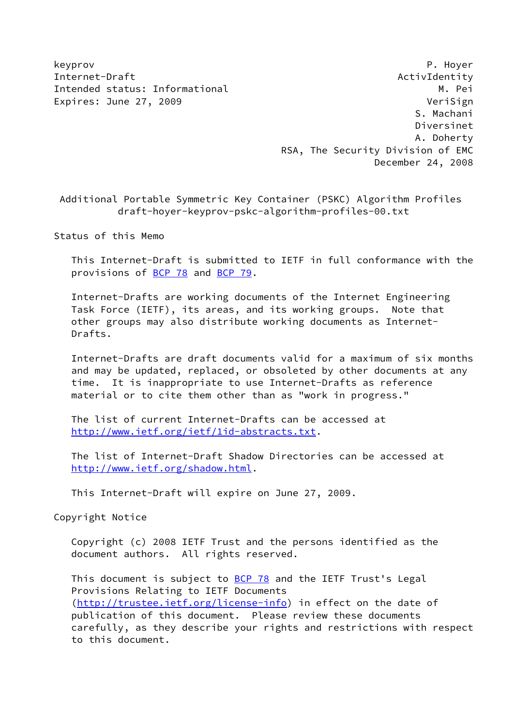keyprov P. Hoyer Internet-Draft ActivIdentity Intended status: Informational M. Pei Expires: June 27, 2009 **VeriSign**  S. Machani Diversinet A. Doherty RSA, The Security Division of EMC December 24, 2008

 Additional Portable Symmetric Key Container (PSKC) Algorithm Profiles draft-hoyer-keyprov-pskc-algorithm-profiles-00.txt

Status of this Memo

 This Internet-Draft is submitted to IETF in full conformance with the provisions of [BCP 78](https://datatracker.ietf.org/doc/pdf/bcp78) and [BCP 79](https://datatracker.ietf.org/doc/pdf/bcp79).

 Internet-Drafts are working documents of the Internet Engineering Task Force (IETF), its areas, and its working groups. Note that other groups may also distribute working documents as Internet- Drafts.

 Internet-Drafts are draft documents valid for a maximum of six months and may be updated, replaced, or obsoleted by other documents at any time. It is inappropriate to use Internet-Drafts as reference material or to cite them other than as "work in progress."

 The list of current Internet-Drafts can be accessed at <http://www.ietf.org/ietf/1id-abstracts.txt>.

 The list of Internet-Draft Shadow Directories can be accessed at <http://www.ietf.org/shadow.html>.

This Internet-Draft will expire on June 27, 2009.

Copyright Notice

 Copyright (c) 2008 IETF Trust and the persons identified as the document authors. All rights reserved.

This document is subject to **[BCP 78](https://datatracker.ietf.org/doc/pdf/bcp78)** and the IETF Trust's Legal Provisions Relating to IETF Documents [\(http://trustee.ietf.org/license-info](http://trustee.ietf.org/license-info)) in effect on the date of publication of this document. Please review these documents carefully, as they describe your rights and restrictions with respect to this document.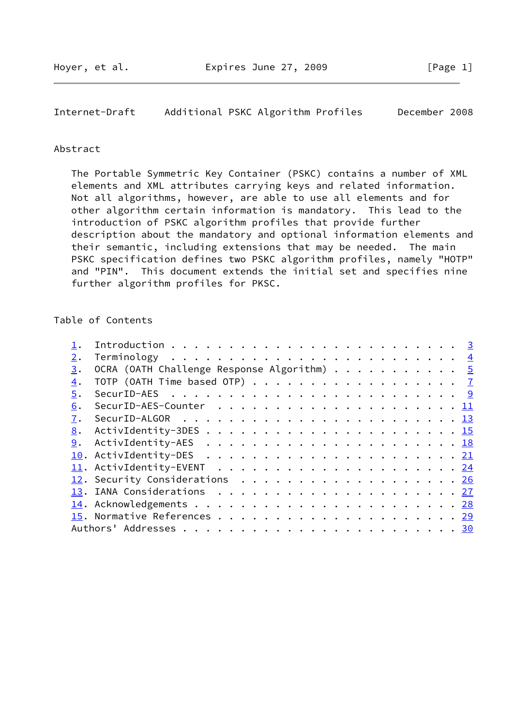Internet-Draft Additional PSKC Algorithm Profiles December 2008

#### Abstract

 The Portable Symmetric Key Container (PSKC) contains a number of XML elements and XML attributes carrying keys and related information. Not all algorithms, however, are able to use all elements and for other algorithm certain information is mandatory. This lead to the introduction of PSKC algorithm profiles that provide further description about the mandatory and optional information elements and their semantic, including extensions that may be needed. The main PSKC specification defines two PSKC algorithm profiles, namely "HOTP" and "PIN". This document extends the initial set and specifies nine further algorithm profiles for PKSC.

### Table of Contents

| 2. |                                            |  |
|----|--------------------------------------------|--|
| 3. | OCRA (OATH Challenge Response Algorithm) 5 |  |
| 4. | TOTP (OATH Time based OTP) $\cdots$ 7      |  |
| 5. |                                            |  |
| 6. |                                            |  |
| 7. |                                            |  |
| 8. |                                            |  |
|    |                                            |  |
|    |                                            |  |
|    |                                            |  |
|    | 12. Security Considerations 26             |  |
|    |                                            |  |
|    |                                            |  |
|    |                                            |  |
|    |                                            |  |
|    |                                            |  |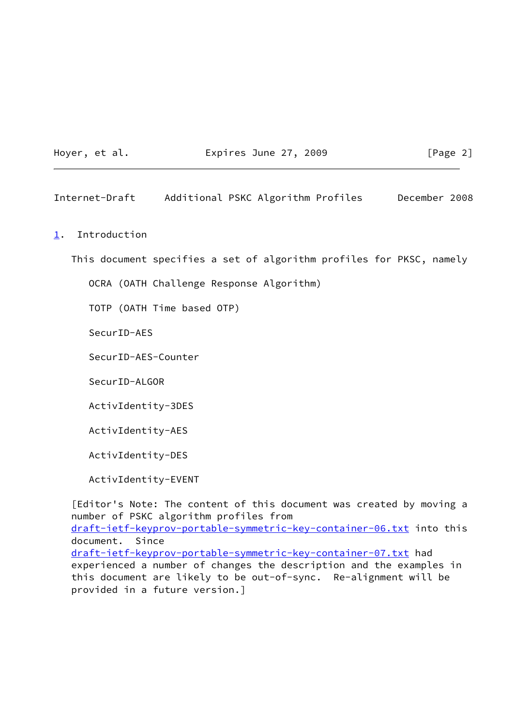## Hoyer, et al. **Expires June 27, 2009** [Page 2]

<span id="page-2-1"></span>Internet-Draft Additional PSKC Algorithm Profiles December 2008

#### <span id="page-2-0"></span>[1](#page-2-0). Introduction

This document specifies a set of algorithm profiles for PKSC, namely

OCRA (OATH Challenge Response Algorithm)

TOTP (OATH Time based OTP)

SecurID-AES

SecurID-AES-Counter

SecurID-ALGOR

ActivIdentity-3DES

ActivIdentity-AES

ActivIdentity-DES

ActivIdentity-EVENT

 [Editor's Note: The content of this document was created by moving a number of PSKC algorithm profiles from [draft-ietf-keyprov-portable-symmetric-key-container-06.txt](https://datatracker.ietf.org/doc/pdf/draft-ietf-keyprov-portable-symmetric-key-container-06.txt) into this document. Since [draft-ietf-keyprov-portable-symmetric-key-container-07.txt](https://datatracker.ietf.org/doc/pdf/draft-ietf-keyprov-portable-symmetric-key-container-07.txt) had experienced a number of changes the description and the examples in this document are likely to be out-of-sync. Re-alignment will be provided in a future version.]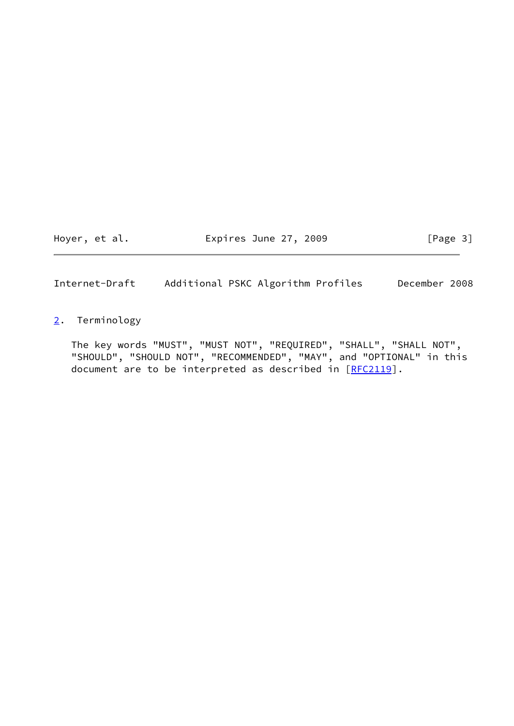Hoyer, et al. **Expires June 27, 2009** [Page 3]

<span id="page-3-1"></span>Internet-Draft Additional PSKC Algorithm Profiles December 2008

<span id="page-3-0"></span>[2](#page-3-0). Terminology

 The key words "MUST", "MUST NOT", "REQUIRED", "SHALL", "SHALL NOT", "SHOULD", "SHOULD NOT", "RECOMMENDED", "MAY", and "OPTIONAL" in this document are to be interpreted as described in [\[RFC2119](https://datatracker.ietf.org/doc/pdf/rfc2119)].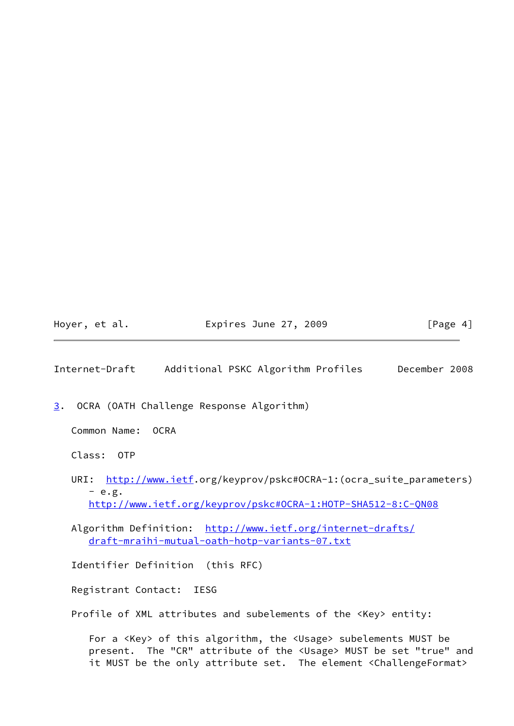| Hoyer, et al. | Expires June 27, 2009 | [Page 4] |
|---------------|-----------------------|----------|
|---------------|-----------------------|----------|

<span id="page-4-1"></span>Internet-Draft Additional PSKC Algorithm Profiles December 2008

<span id="page-4-0"></span>[3](#page-4-0). OCRA (OATH Challenge Response Algorithm)

Common Name: OCRA

Class: OTP

 URI: <http://www.ietf>.org/keyprov/pskc#OCRA-1:(ocra\_suite\_parameters)  $-$  e.g. <http://www.ietf.org/keyprov/pskc#OCRA-1:HOTP-SHA512-8:C-QN08>

 Algorithm Definition: [http://www.ietf.org/internet-drafts/](http://www.ietf.org/internet-drafts/draft-mraihi-mutual-oath-hotp-variants-07.txt) [draft-mraihi-mutual-oath-hotp-variants-07.txt](http://www.ietf.org/internet-drafts/draft-mraihi-mutual-oath-hotp-variants-07.txt)

Identifier Definition (this RFC)

Registrant Contact: IESG

Profile of XML attributes and subelements of the <Key> entity:

 For a <Key> of this algorithm, the <Usage> subelements MUST be present. The "CR" attribute of the <Usage> MUST be set "true" and it MUST be the only attribute set. The element <ChallengeFormat>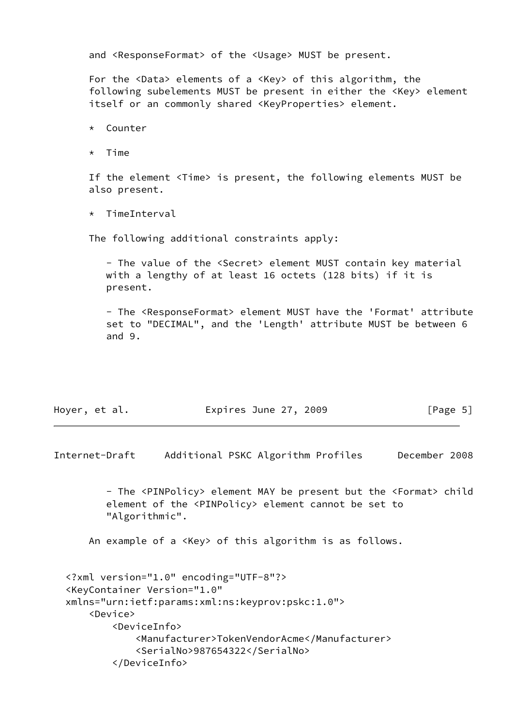and <ResponseFormat> of the <Usage> MUST be present.

 For the <Data> elements of a <Key> of this algorithm, the following subelements MUST be present in either the <Key> element itself or an commonly shared <KeyProperties> element.

\* Counter

\* Time

 If the element <Time> is present, the following elements MUST be also present.

\* TimeInterval

The following additional constraints apply:

 - The value of the <Secret> element MUST contain key material with a lengthy of at least 16 octets (128 bits) if it is present.

 - The <ResponseFormat> element MUST have the 'Format' attribute set to "DECIMAL", and the 'Length' attribute MUST be between 6 and 9.

| Hoyer, et al. | Expires June 27, 2009 | [Page 5] |  |
|---------------|-----------------------|----------|--|
|               |                       |          |  |

```
Internet-Draft Additional PSKC Algorithm Profiles December 2008
          - The <PINPolicy> element MAY be present but the <Format> child
          element of the <PINPolicy> element cannot be set to
          "Algorithmic".
      An example of a <Key> of this algorithm is as follows.
   <?xml version="1.0" encoding="UTF-8"?>
   <KeyContainer Version="1.0"
  xmlns="urn:ietf:params:xml:ns:keyprov:pskc:1.0">
       <Device>
           <DeviceInfo>
               <Manufacturer>TokenVendorAcme</Manufacturer>
               <SerialNo>987654322</SerialNo>
           </DeviceInfo>
```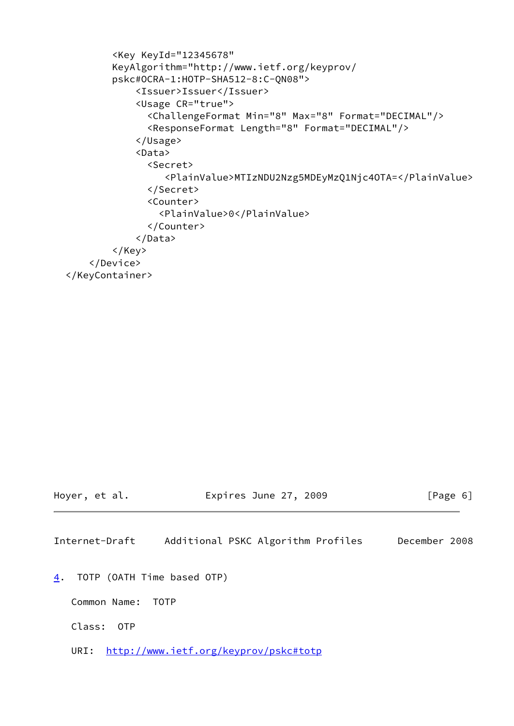```
 <Key KeyId="12345678"
         KeyAlgorithm="http://www.ietf.org/keyprov/
         pskc#OCRA-1:HOTP-SHA512-8:C-QN08">
              <Issuer>Issuer</Issuer>
             <Usage CR="true">
                <ChallengeFormat Min="8" Max="8" Format="DECIMAL"/>
                <ResponseFormat Length="8" Format="DECIMAL"/>
             </Usage>
             <Data>
                <Secret>
                   <PlainValue>MTIzNDU2Nzg5MDEyMzQ1Njc4OTA=</PlainValue>
                </Secret>
                <Counter>
                  <PlainValue>0</PlainValue>
                </Counter>
             </Data>
         </Key>
     </Device>
 </KeyContainer>
```
Hoyer, et al. **Expires June 27, 2009** [Page 6]

<span id="page-6-1"></span>Internet-Draft Additional PSKC Algorithm Profiles December 2008

<span id="page-6-0"></span> $\frac{4}{1}$  $\frac{4}{1}$  $\frac{4}{1}$ . TOTP (OATH Time based OTP)

Common Name: TOTP

Class: OTP

URI: <http://www.ietf.org/keyprov/pskc#totp>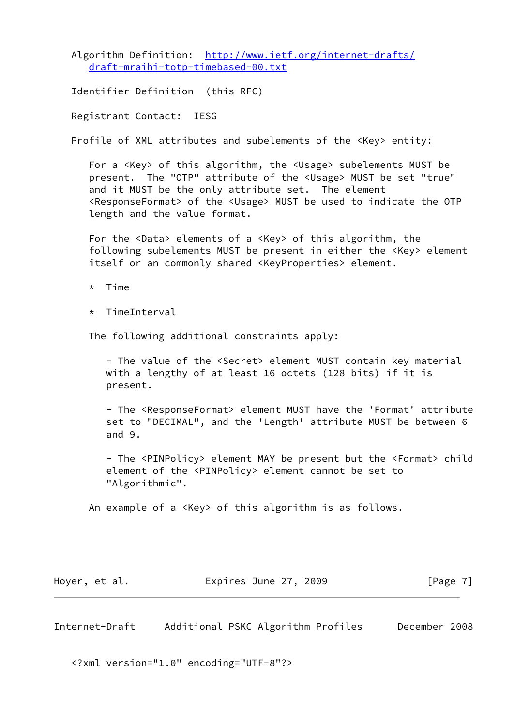Algorithm Definition: [http://www.ietf.org/internet-drafts/](http://www.ietf.org/internet-drafts/draft-mraihi-totp-timebased-00.txt) [draft-mraihi-totp-timebased-00.txt](http://www.ietf.org/internet-drafts/draft-mraihi-totp-timebased-00.txt)

Identifier Definition (this RFC)

Registrant Contact: IESG

Profile of XML attributes and subelements of the <Key> entity:

 For a <Key> of this algorithm, the <Usage> subelements MUST be present. The "OTP" attribute of the <Usage> MUST be set "true" and it MUST be the only attribute set. The element <ResponseFormat> of the <Usage> MUST be used to indicate the OTP length and the value format.

 For the <Data> elements of a <Key> of this algorithm, the following subelements MUST be present in either the <Key> element itself or an commonly shared <KeyProperties> element.

- \* Time
- \* TimeInterval

The following additional constraints apply:

 - The value of the <Secret> element MUST contain key material with a lengthy of at least 16 octets (128 bits) if it is present.

 - The <ResponseFormat> element MUST have the 'Format' attribute set to "DECIMAL", and the 'Length' attribute MUST be between 6 and 9.

 - The <PINPolicy> element MAY be present but the <Format> child element of the <PINPolicy> element cannot be set to "Algorithmic".

An example of a <Key> of this algorithm is as follows.

Hoyer, et al. **Expires June 27, 2009** [Page 7]

Internet-Draft Additional PSKC Algorithm Profiles December 2008

<?xml version="1.0" encoding="UTF-8"?>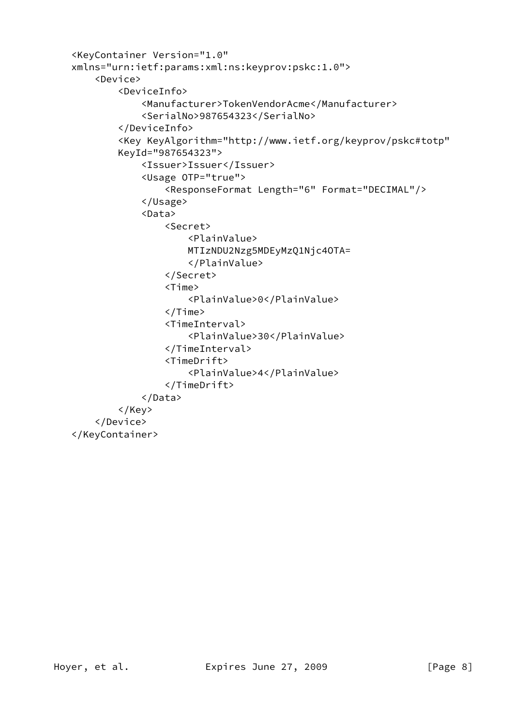```
 <KeyContainer Version="1.0"
 xmlns="urn:ietf:params:xml:ns:keyprov:pskc:1.0">
     <Device>
         <DeviceInfo>
              <Manufacturer>TokenVendorAcme</Manufacturer>
              <SerialNo>987654323</SerialNo>
         </DeviceInfo>
         <Key KeyAlgorithm="http://www.ietf.org/keyprov/pskc#totp"
         KeyId="987654323">
              <Issuer>Issuer</Issuer>
              <Usage OTP="true">
                  <ResponseFormat Length="6" Format="DECIMAL"/>
              </Usage>
              <Data>
                  <Secret>
                      <PlainValue>
                      MTIzNDU2Nzg5MDEyMzQ1Njc4OTA=
                      </PlainValue>
                  </Secret>
                 <Time> <PlainValue>0</PlainValue>
                 \langleTime\rangle <TimeInterval>
                      <PlainValue>30</PlainValue>
                  </TimeInterval>
                  <TimeDrift>
                      <PlainValue>4</PlainValue>
                  </TimeDrift>
              </Data>
         </Key>
     </Device>
 </KeyContainer>
```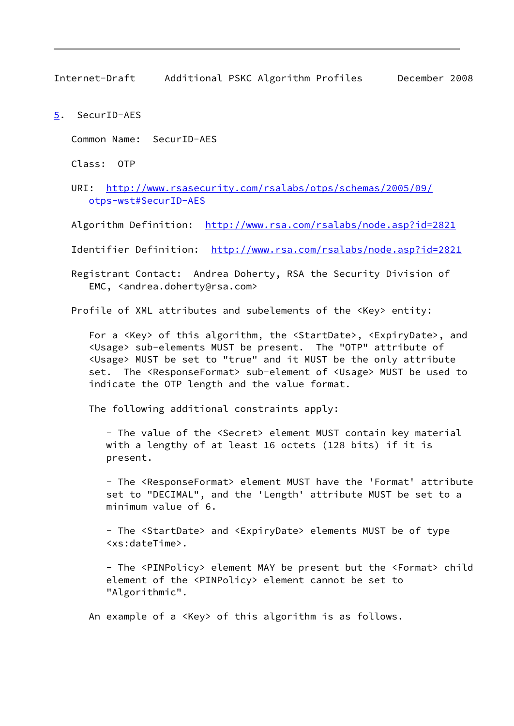<span id="page-9-1"></span>Internet-Draft Additional PSKC Algorithm Profiles December 2008

<span id="page-9-0"></span>[5](#page-9-0). SecurID-AES

Common Name: SecurID-AES

Class: OTP

 URI: [http://www.rsasecurity.com/rsalabs/otps/schemas/2005/09/](http://www.rsasecurity.com/rsalabs/otps/schemas/2005/09/otps-wst#SecurID-AES) [otps-wst#SecurID-AES](http://www.rsasecurity.com/rsalabs/otps/schemas/2005/09/otps-wst#SecurID-AES)

Algorithm Definition: <http://www.rsa.com/rsalabs/node.asp?id=2821>

Identifier Definition: <http://www.rsa.com/rsalabs/node.asp?id=2821>

 Registrant Contact: Andrea Doherty, RSA the Security Division of EMC, <andrea.doherty@rsa.com>

Profile of XML attributes and subelements of the <Key> entity:

 For a <Key> of this algorithm, the <StartDate>, <ExpiryDate>, and <Usage> sub-elements MUST be present. The "OTP" attribute of <Usage> MUST be set to "true" and it MUST be the only attribute set. The <ResponseFormat> sub-element of <Usage> MUST be used to indicate the OTP length and the value format.

The following additional constraints apply:

 - The value of the <Secret> element MUST contain key material with a lengthy of at least 16 octets (128 bits) if it is present.

 - The <ResponseFormat> element MUST have the 'Format' attribute set to "DECIMAL", and the 'Length' attribute MUST be set to a minimum value of 6.

 - The <StartDate> and <ExpiryDate> elements MUST be of type <xs:dateTime>.

 - The <PINPolicy> element MAY be present but the <Format> child element of the <PINPolicy> element cannot be set to "Algorithmic".

An example of a <Key> of this algorithm is as follows.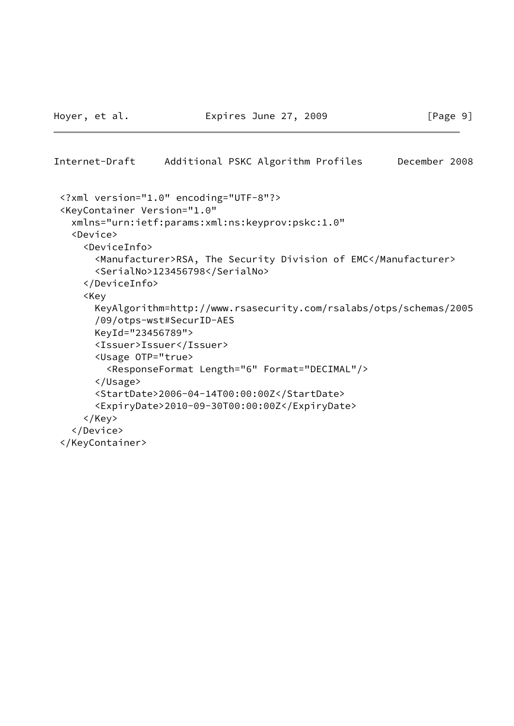```
Internet-Draft Additional PSKC Algorithm Profiles December 2008
  <?xml version="1.0" encoding="UTF-8"?>
  <KeyContainer Version="1.0"
    xmlns="urn:ietf:params:xml:ns:keyprov:pskc:1.0"
    <Device>
      <DeviceInfo>
        <Manufacturer>RSA, The Security Division of EMC</Manufacturer>
        <SerialNo>123456798</SerialNo>
      </DeviceInfo>
      <Key
        KeyAlgorithm=http://www.rsasecurity.com/rsalabs/otps/schemas/2005
        /09/otps-wst#SecurID-AES
        KeyId="23456789">
        <Issuer>Issuer</Issuer>
        <Usage OTP="true>
          <ResponseFormat Length="6" Format="DECIMAL"/>
        </Usage>
        <StartDate>2006-04-14T00:00:00Z</StartDate>
        <ExpiryDate>2010-09-30T00:00:00Z</ExpiryDate>
      </Key>
    </Device>
  </KeyContainer>
```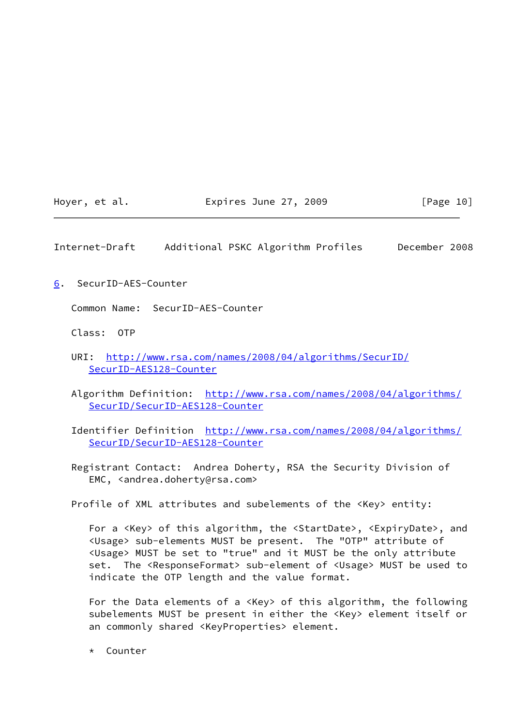Hoyer, et al. **Expires June 27, 2009** [Page 10]

<span id="page-11-1"></span>Internet-Draft Additional PSKC Algorithm Profiles December 2008

<span id="page-11-0"></span>[6](#page-11-0). SecurID-AES-Counter

Common Name: SecurID-AES-Counter

Class: OTP

 URI: [http://www.rsa.com/names/2008/04/algorithms/SecurID/](http://www.rsa.com/names/2008/04/algorithms/SecurID/SecurID-AES128-Counter) [SecurID-AES128-Counter](http://www.rsa.com/names/2008/04/algorithms/SecurID/SecurID-AES128-Counter)

Algorithm Definition: [http://www.rsa.com/names/2008/04/algorithms/](http://www.rsa.com/names/2008/04/algorithms/SecurID/SecurID-AES128-Counter) [SecurID/SecurID-AES128-Counter](http://www.rsa.com/names/2008/04/algorithms/SecurID/SecurID-AES128-Counter)

 Identifier Definition [http://www.rsa.com/names/2008/04/algorithms/](http://www.rsa.com/names/2008/04/algorithms/SecurID/SecurID-AES128-Counter) [SecurID/SecurID-AES128-Counter](http://www.rsa.com/names/2008/04/algorithms/SecurID/SecurID-AES128-Counter)

 Registrant Contact: Andrea Doherty, RSA the Security Division of EMC, <andrea.doherty@rsa.com>

Profile of XML attributes and subelements of the <Key> entity:

 For a <Key> of this algorithm, the <StartDate>, <ExpiryDate>, and <Usage> sub-elements MUST be present. The "OTP" attribute of <Usage> MUST be set to "true" and it MUST be the only attribute set. The <ResponseFormat> sub-element of <Usage> MUST be used to indicate the OTP length and the value format.

For the Data elements of a <Key> of this algorithm, the following subelements MUST be present in either the <Key> element itself or an commonly shared <KeyProperties> element.

\* Counter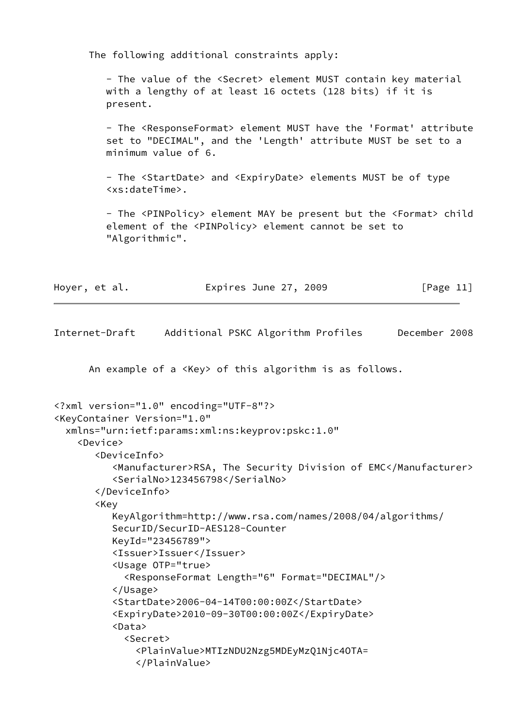The following additional constraints apply:

 - The value of the <Secret> element MUST contain key material with a lengthy of at least 16 octets (128 bits) if it is present.

 - The <ResponseFormat> element MUST have the 'Format' attribute set to "DECIMAL", and the 'Length' attribute MUST be set to a minimum value of 6.

 - The <StartDate> and <ExpiryDate> elements MUST be of type <xs:dateTime>.

 - The <PINPolicy> element MAY be present but the <Format> child element of the <PINPolicy> element cannot be set to "Algorithmic".

| Expires June 27, 2009<br>[Page 11]<br>Hoyer, et al. |  |  |
|-----------------------------------------------------|--|--|
|-----------------------------------------------------|--|--|

Internet-Draft Additional PSKC Algorithm Profiles December 2008

An example of a <Key> of this algorithm is as follows.

```
<?xml version="1.0" encoding="UTF-8"?>
<KeyContainer Version="1.0"
  xmlns="urn:ietf:params:xml:ns:keyprov:pskc:1.0"
     <Device>
        <DeviceInfo>
           <Manufacturer>RSA, The Security Division of EMC</Manufacturer>
           <SerialNo>123456798</SerialNo>
        </DeviceInfo>
        <Key
           KeyAlgorithm=http://www.rsa.com/names/2008/04/algorithms/
           SecurID/SecurID-AES128-Counter
           KeyId="23456789">
           <Issuer>Issuer</Issuer>
           <Usage OTP="true>
             <ResponseFormat Length="6" Format="DECIMAL"/>
           </Usage>
           <StartDate>2006-04-14T00:00:00Z</StartDate>
           <ExpiryDate>2010-09-30T00:00:00Z</ExpiryDate>
           <Data>
             <Secret>
               <PlainValue>MTIzNDU2Nzg5MDEyMzQ1Njc4OTA=
               </PlainValue>
```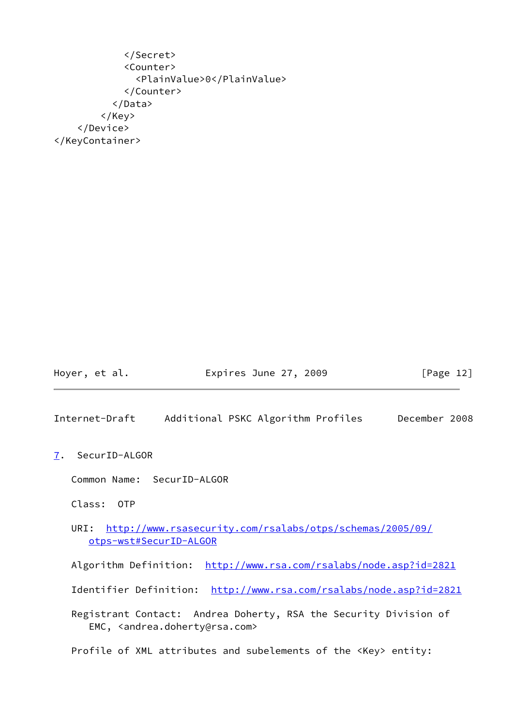```
 </Secret>
              <Counter>
                <PlainValue>0</PlainValue>
              </Counter>
            </Data>
          </Key>
     </Device>
</KeyContainer>
```
Hoyer, et al. **Expires June 27, 2009** [Page 12]

<span id="page-13-1"></span>Internet-Draft Additional PSKC Algorithm Profiles December 2008

<span id="page-13-0"></span>[7](#page-13-0). SecurID-ALGOR

Common Name: SecurID-ALGOR

Class: OTP

# URI: [http://www.rsasecurity.com/rsalabs/otps/schemas/2005/09/](http://www.rsasecurity.com/rsalabs/otps/schemas/2005/09/otps-wst#SecurID-ALGOR) [otps-wst#SecurID-ALGOR](http://www.rsasecurity.com/rsalabs/otps/schemas/2005/09/otps-wst#SecurID-ALGOR)

Algorithm Definition: <http://www.rsa.com/rsalabs/node.asp?id=2821>

Identifier Definition: <http://www.rsa.com/rsalabs/node.asp?id=2821>

 Registrant Contact: Andrea Doherty, RSA the Security Division of EMC, <andrea.doherty@rsa.com>

Profile of XML attributes and subelements of the <Key> entity: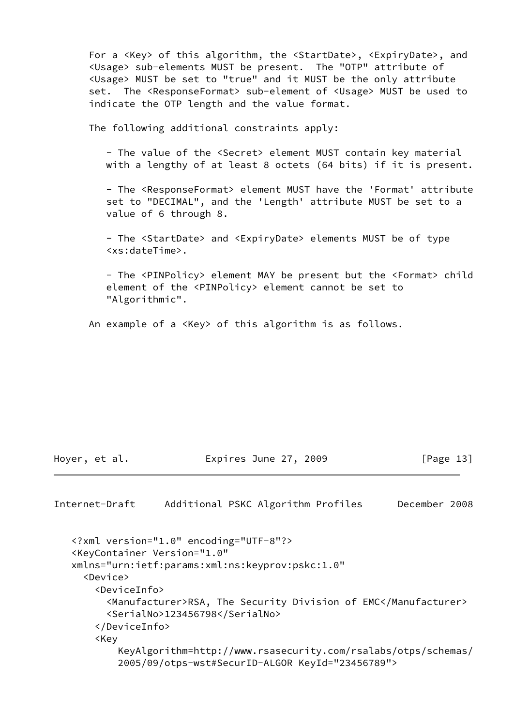For a <Key> of this algorithm, the <StartDate>, <ExpiryDate>, and <Usage> sub-elements MUST be present. The "OTP" attribute of <Usage> MUST be set to "true" and it MUST be the only attribute set. The <ResponseFormat> sub-element of <Usage> MUST be used to indicate the OTP length and the value format.

The following additional constraints apply:

 - The value of the <Secret> element MUST contain key material with a lengthy of at least 8 octets (64 bits) if it is present.

 - The <ResponseFormat> element MUST have the 'Format' attribute set to "DECIMAL", and the 'Length' attribute MUST be set to a value of 6 through 8.

 - The <StartDate> and <ExpiryDate> elements MUST be of type <xs:dateTime>.

 - The <PINPolicy> element MAY be present but the <Format> child element of the <PINPolicy> element cannot be set to "Algorithmic".

An example of a <Key> of this algorithm is as follows.

Hoyer, et al. Expires June 27, 2009 [Page 13]

Internet-Draft Additional PSKC Algorithm Profiles December 2008

```
 <?xml version="1.0" encoding="UTF-8"?>
 <KeyContainer Version="1.0"
 xmlns="urn:ietf:params:xml:ns:keyprov:pskc:1.0"
   <Device>
     <DeviceInfo>
       <Manufacturer>RSA, The Security Division of EMC</Manufacturer>
       <SerialNo>123456798</SerialNo>
     </DeviceInfo>
     <Key
         KeyAlgorithm=http://www.rsasecurity.com/rsalabs/otps/schemas/
         2005/09/otps-wst#SecurID-ALGOR KeyId="23456789">
```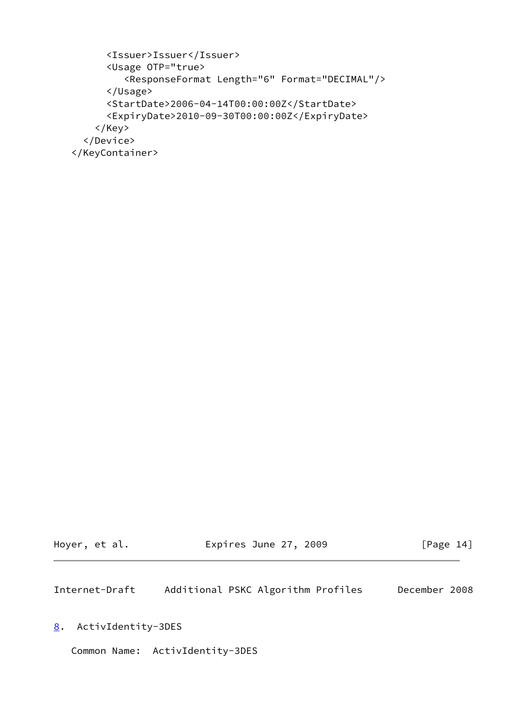```
 <Issuer>Issuer</Issuer>
       <Usage OTP="true>
          <ResponseFormat Length="6" Format="DECIMAL"/>
       </Usage>
       <StartDate>2006-04-14T00:00:00Z</StartDate>
       <ExpiryDate>2010-09-30T00:00:00Z</ExpiryDate>
    \langle/Key>
   </Device>
 </KeyContainer>
```
Hoyer, et al. **Expires June 27, 2009** [Page 14]

<span id="page-15-1"></span>Internet-Draft Additional PSKC Algorithm Profiles December 2008

# <span id="page-15-0"></span>[8](#page-15-0). ActivIdentity-3DES

Common Name: ActivIdentity-3DES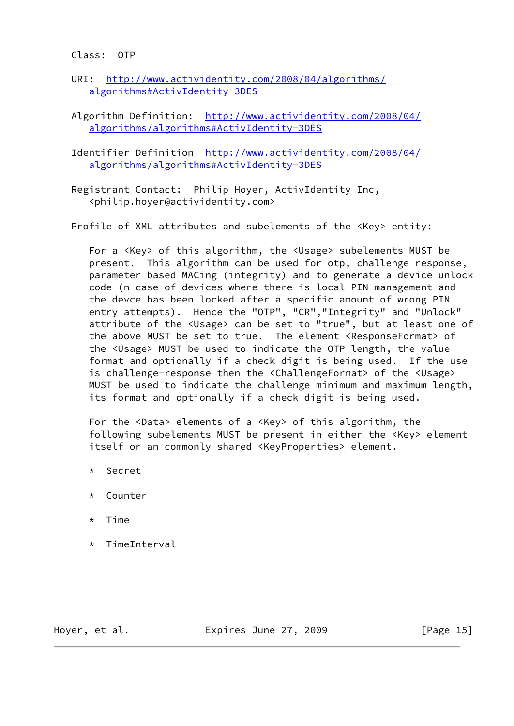# Class: OTP

 URI: [http://www.actividentity.com/2008/04/algorithms/](http://www.actividentity.com/2008/04/algorithms/algorithms#ActivIdentity-3DES) [algorithms#ActivIdentity-3DES](http://www.actividentity.com/2008/04/algorithms/algorithms#ActivIdentity-3DES)

 Algorithm Definition: [http://www.actividentity.com/2008/04/](http://www.actividentity.com/2008/04/algorithms/algorithms#ActivIdentity-3DES) [algorithms/algorithms#ActivIdentity-3DES](http://www.actividentity.com/2008/04/algorithms/algorithms#ActivIdentity-3DES)

 Identifier Definition [http://www.actividentity.com/2008/04/](http://www.actividentity.com/2008/04/algorithms/algorithms#ActivIdentity-3DES) [algorithms/algorithms#ActivIdentity-3DES](http://www.actividentity.com/2008/04/algorithms/algorithms#ActivIdentity-3DES)

 Registrant Contact: Philip Hoyer, ActivIdentity Inc, <philip.hoyer@actividentity.com>

Profile of XML attributes and subelements of the <Key> entity:

 For a <Key> of this algorithm, the <Usage> subelements MUST be present. This algorithm can be used for otp, challenge response, parameter based MACing (integrity) and to generate a device unlock code (n case of devices where there is local PIN management and the devce has been locked after a specific amount of wrong PIN entry attempts). Hence the "OTP", "CR","Integrity" and "Unlock" attribute of the <Usage> can be set to "true", but at least one of the above MUST be set to true. The element <ResponseFormat> of the <Usage> MUST be used to indicate the OTP length, the value format and optionally if a check digit is being used. If the use is challenge-response then the <ChallengeFormat> of the <Usage> MUST be used to indicate the challenge minimum and maximum length, its format and optionally if a check digit is being used.

 For the <Data> elements of a <Key> of this algorithm, the following subelements MUST be present in either the <Key> element itself or an commonly shared <KeyProperties> element.

- \* Secret
- \* Counter
- \* Time
- \* TimeInterval

Hoyer, et al. **Expires June 27, 2009** [Page 15]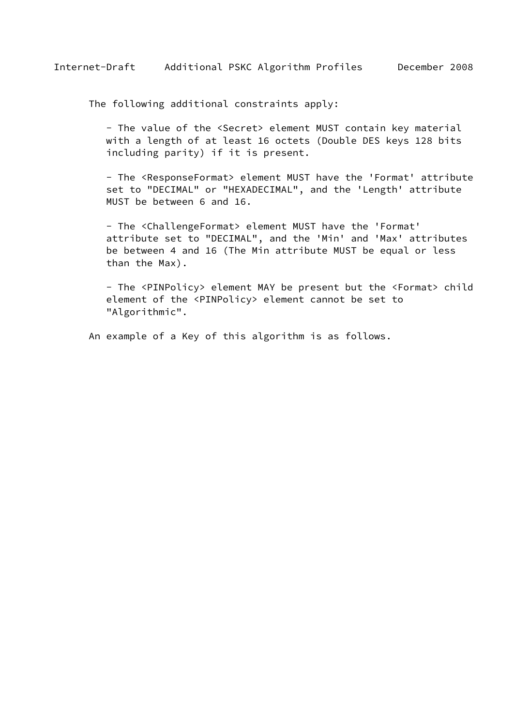The following additional constraints apply:

 - The value of the <Secret> element MUST contain key material with a length of at least 16 octets (Double DES keys 128 bits including parity) if it is present.

 - The <ResponseFormat> element MUST have the 'Format' attribute set to "DECIMAL" or "HEXADECIMAL", and the 'Length' attribute MUST be between 6 and 16.

 - The <ChallengeFormat> element MUST have the 'Format' attribute set to "DECIMAL", and the 'Min' and 'Max' attributes be between 4 and 16 (The Min attribute MUST be equal or less than the Max).

 - The <PINPolicy> element MAY be present but the <Format> child element of the <PINPolicy> element cannot be set to "Algorithmic".

An example of a Key of this algorithm is as follows.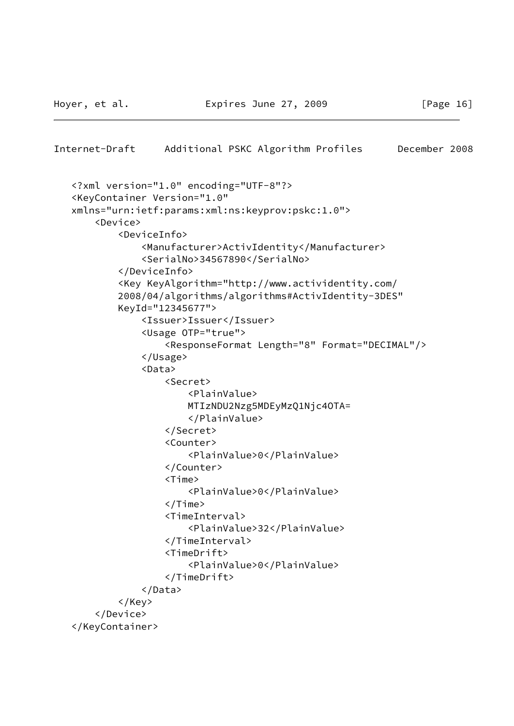```
Internet-Draft Additional PSKC Algorithm Profiles December 2008
    <?xml version="1.0" encoding="UTF-8"?>
    <KeyContainer Version="1.0"
    xmlns="urn:ietf:params:xml:ns:keyprov:pskc:1.0">
        <Device>
            <DeviceInfo>
                 <Manufacturer>ActivIdentity</Manufacturer>
                 <SerialNo>34567890</SerialNo>
            </DeviceInfo>
            <Key KeyAlgorithm="http://www.actividentity.com/
            2008/04/algorithms/algorithms#ActivIdentity-3DES"
            KeyId="12345677">
                 <Issuer>Issuer</Issuer>
                 <Usage OTP="true">
                     <ResponseFormat Length="8" Format="DECIMAL"/>
                 </Usage>
                 <Data>
                     <Secret>
                         <PlainValue>
                         MTIzNDU2Nzg5MDEyMzQ1Njc4OTA=
                         </PlainValue>
                     </Secret>
                     <Counter>
                          <PlainValue>0</PlainValue>
                     </Counter>
                    <Time> <PlainValue>0</PlainValue>
                    \langleTime\rangle <TimeInterval>
                          <PlainValue>32</PlainValue>
                     </TimeInterval>
                     <TimeDrift>
                          <PlainValue>0</PlainValue>
                     </TimeDrift>
                 </Data>
            </Key>
        </Device>
    </KeyContainer>
```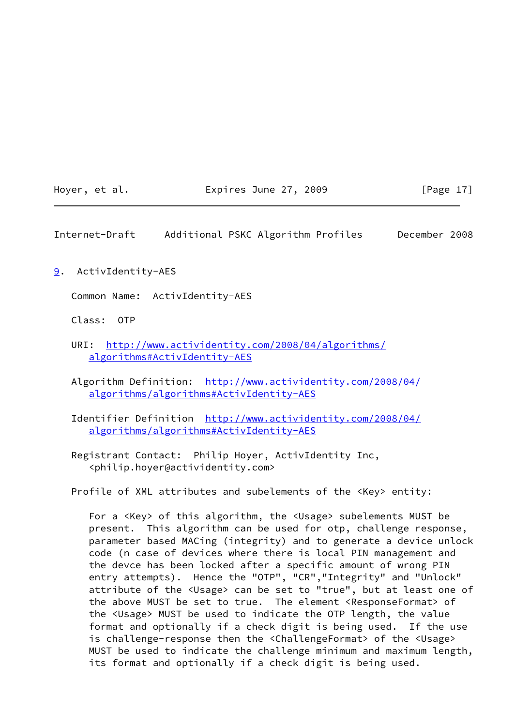Hoyer, et al. **Expires June 27, 2009** [Page 17]

<span id="page-19-1"></span>Internet-Draft Additional PSKC Algorithm Profiles December 2008

## <span id="page-19-0"></span>[9](#page-19-0). ActivIdentity-AES

Common Name: ActivIdentity-AES

Class: OTP

 URI: [http://www.actividentity.com/2008/04/algorithms/](http://www.actividentity.com/2008/04/algorithms/algorithms#ActivIdentity-AES) [algorithms#ActivIdentity-AES](http://www.actividentity.com/2008/04/algorithms/algorithms#ActivIdentity-AES)

Algorithm Definition: [http://www.actividentity.com/2008/04/](http://www.actividentity.com/2008/04/algorithms/algorithms#ActivIdentity-AES) [algorithms/algorithms#ActivIdentity-AES](http://www.actividentity.com/2008/04/algorithms/algorithms#ActivIdentity-AES)

Identifier Definition [http://www.actividentity.com/2008/04/](http://www.actividentity.com/2008/04/algorithms/algorithms#ActivIdentity-AES) [algorithms/algorithms#ActivIdentity-AES](http://www.actividentity.com/2008/04/algorithms/algorithms#ActivIdentity-AES)

 Registrant Contact: Philip Hoyer, ActivIdentity Inc, <philip.hoyer@actividentity.com>

Profile of XML attributes and subelements of the <Key> entity:

 For a <Key> of this algorithm, the <Usage> subelements MUST be present. This algorithm can be used for otp, challenge response, parameter based MACing (integrity) and to generate a device unlock code (n case of devices where there is local PIN management and the devce has been locked after a specific amount of wrong PIN entry attempts). Hence the "OTP", "CR","Integrity" and "Unlock" attribute of the <Usage> can be set to "true", but at least one of the above MUST be set to true. The element <ResponseFormat> of the <Usage> MUST be used to indicate the OTP length, the value format and optionally if a check digit is being used. If the use is challenge-response then the <ChallengeFormat> of the <Usage> MUST be used to indicate the challenge minimum and maximum length, its format and optionally if a check digit is being used.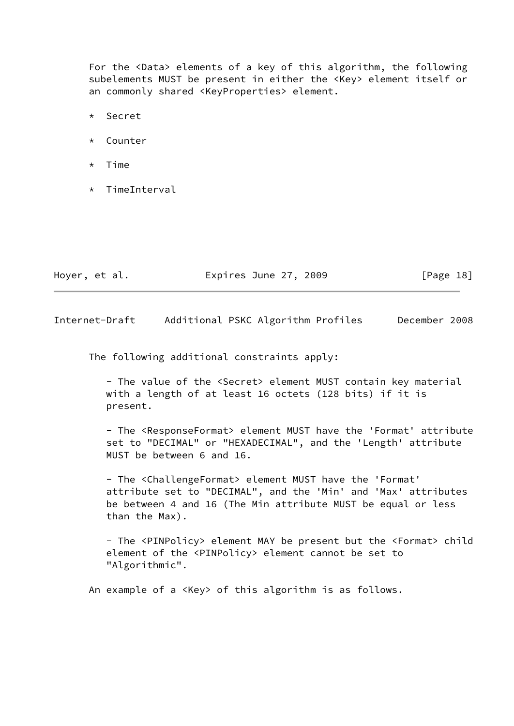For the <Data> elements of a key of this algorithm, the following subelements MUST be present in either the <Key> element itself or an commonly shared <KeyProperties> element.

- \* Secret
- \* Counter
- \* Time
- \* TimeInterval

| Hoyer, et al. | Expires June 27, 2009 |  | [Page 18] |  |
|---------------|-----------------------|--|-----------|--|
|               |                       |  |           |  |

Internet-Draft Additional PSKC Algorithm Profiles December 2008

The following additional constraints apply:

 - The value of the <Secret> element MUST contain key material with a length of at least 16 octets (128 bits) if it is present.

 - The <ResponseFormat> element MUST have the 'Format' attribute set to "DECIMAL" or "HEXADECIMAL", and the 'Length' attribute MUST be between 6 and 16.

 - The <ChallengeFormat> element MUST have the 'Format' attribute set to "DECIMAL", and the 'Min' and 'Max' attributes be between 4 and 16 (The Min attribute MUST be equal or less than the Max).

 - The <PINPolicy> element MAY be present but the <Format> child element of the <PINPolicy> element cannot be set to "Algorithmic".

An example of a <Key> of this algorithm is as follows.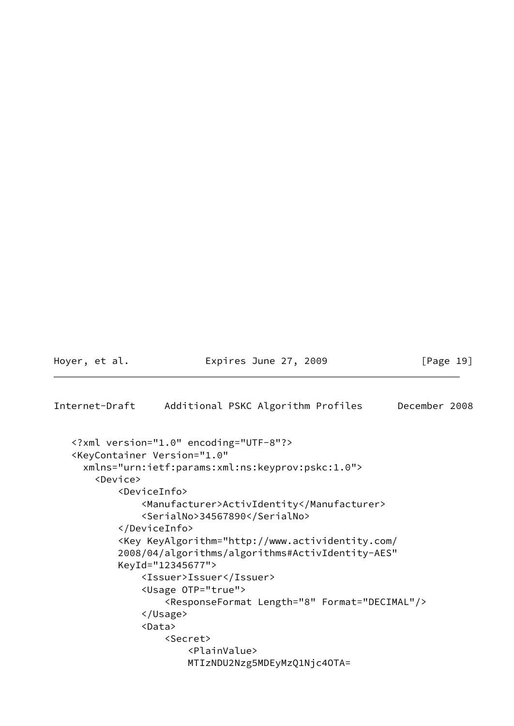# Hoyer, et al. **Expires June 27, 2009** [Page 19]

```
Internet-Draft Additional PSKC Algorithm Profiles December 2008
    <?xml version="1.0" encoding="UTF-8"?>
    <KeyContainer Version="1.0"
      xmlns="urn:ietf:params:xml:ns:keyprov:pskc:1.0">
        <Device>
            <DeviceInfo>
                <Manufacturer>ActivIdentity</Manufacturer>
                <SerialNo>34567890</SerialNo>
            </DeviceInfo>
            <Key KeyAlgorithm="http://www.actividentity.com/
            2008/04/algorithms/algorithms#ActivIdentity-AES"
            KeyId="12345677">
                <Issuer>Issuer</Issuer>
                <Usage OTP="true">
                    <ResponseFormat Length="8" Format="DECIMAL"/>
                </Usage>
                <Data>
                    <Secret>
                         <PlainValue>
                        MTIzNDU2Nzg5MDEyMzQ1Njc4OTA=
```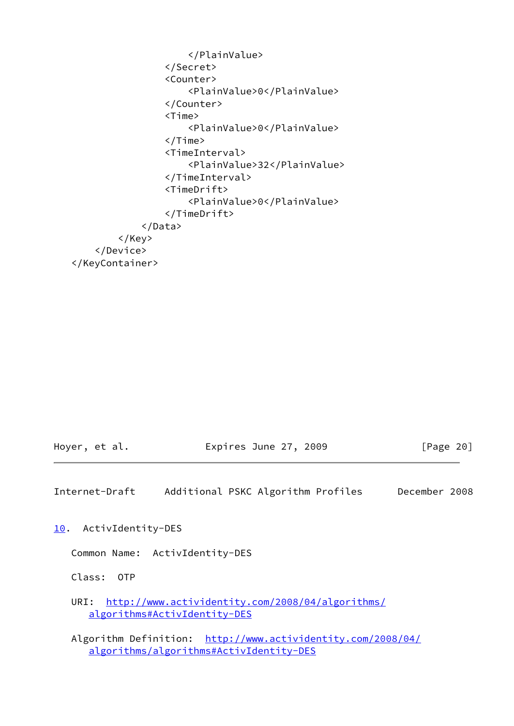```
 </PlainValue>
                   </Secret>
                   <Counter>
                       <PlainValue>0</PlainValue>
                   </Counter>
                  <Time> <PlainValue>0</PlainValue>
                  \langleTime\rangle <TimeInterval>
                       <PlainValue>32</PlainValue>
                   </TimeInterval>
                   <TimeDrift>
                       <PlainValue>0</PlainValue>
                   </TimeDrift>
              </Data>
          </Key>
     </Device>
 </KeyContainer>
```
Hoyer, et al. **Expires June 27, 2009** [Page 20]

<span id="page-22-1"></span>Internet-Draft Additional PSKC Algorithm Profiles December 2008

<span id="page-22-0"></span>[10.](#page-22-0) ActivIdentity-DES

Common Name: ActivIdentity-DES

Class: OTP

 URI: [http://www.actividentity.com/2008/04/algorithms/](http://www.actividentity.com/2008/04/algorithms/algorithms#ActivIdentity-DES) [algorithms#ActivIdentity-DES](http://www.actividentity.com/2008/04/algorithms/algorithms#ActivIdentity-DES)

 Algorithm Definition: [http://www.actividentity.com/2008/04/](http://www.actividentity.com/2008/04/algorithms/algorithms#ActivIdentity-DES) [algorithms/algorithms#ActivIdentity-DES](http://www.actividentity.com/2008/04/algorithms/algorithms#ActivIdentity-DES)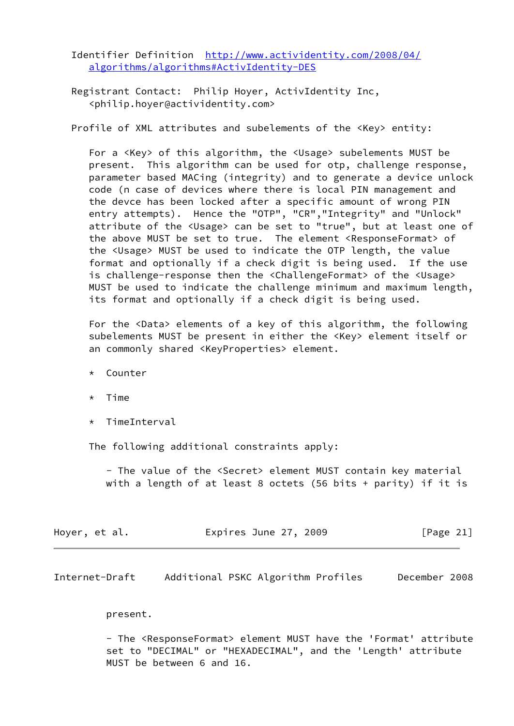Identifier Definition [http://www.actividentity.com/2008/04/](http://www.actividentity.com/2008/04/algorithms/algorithms#ActivIdentity-DES) [algorithms/algorithms#ActivIdentity-DES](http://www.actividentity.com/2008/04/algorithms/algorithms#ActivIdentity-DES)

 Registrant Contact: Philip Hoyer, ActivIdentity Inc, <philip.hoyer@actividentity.com>

Profile of XML attributes and subelements of the <Key> entity:

 For a <Key> of this algorithm, the <Usage> subelements MUST be present. This algorithm can be used for otp, challenge response, parameter based MACing (integrity) and to generate a device unlock code (n case of devices where there is local PIN management and the devce has been locked after a specific amount of wrong PIN entry attempts). Hence the "OTP", "CR","Integrity" and "Unlock" attribute of the <Usage> can be set to "true", but at least one of the above MUST be set to true. The element <ResponseFormat> of the <Usage> MUST be used to indicate the OTP length, the value format and optionally if a check digit is being used. If the use is challenge-response then the <ChallengeFormat> of the <Usage> MUST be used to indicate the challenge minimum and maximum length, its format and optionally if a check digit is being used.

 For the <Data> elements of a key of this algorithm, the following subelements MUST be present in either the <Key> element itself or an commonly shared <KeyProperties> element.

- \* Counter
- \* Time
- \* TimeInterval

The following additional constraints apply:

 - The value of the <Secret> element MUST contain key material with a length of at least 8 octets (56 bits + parity) if it is

|  | Hoyer, et al. | Expires June 27, 2009 |  | [Page 21] |  |
|--|---------------|-----------------------|--|-----------|--|
|--|---------------|-----------------------|--|-----------|--|

Internet-Draft Additional PSKC Algorithm Profiles December 2008

#### present.

 - The <ResponseFormat> element MUST have the 'Format' attribute set to "DECIMAL" or "HEXADECIMAL", and the 'Length' attribute MUST be between 6 and 16.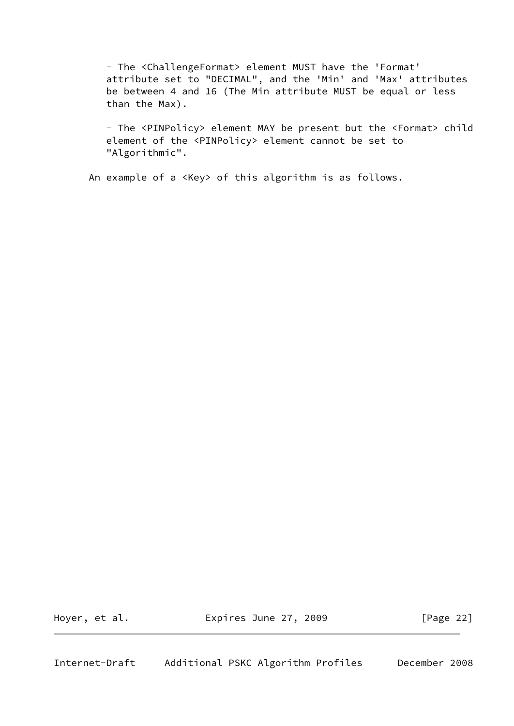- The <ChallengeFormat> element MUST have the 'Format' attribute set to "DECIMAL", and the 'Min' and 'Max' attributes be between 4 and 16 (The Min attribute MUST be equal or less than the Max).

 - The <PINPolicy> element MAY be present but the <Format> child element of the <PINPolicy> element cannot be set to "Algorithmic".

An example of a <Key> of this algorithm is as follows.

Hoyer, et al. **Expires June 27, 2009** [Page 22]

Internet-Draft Additional PSKC Algorithm Profiles December 2008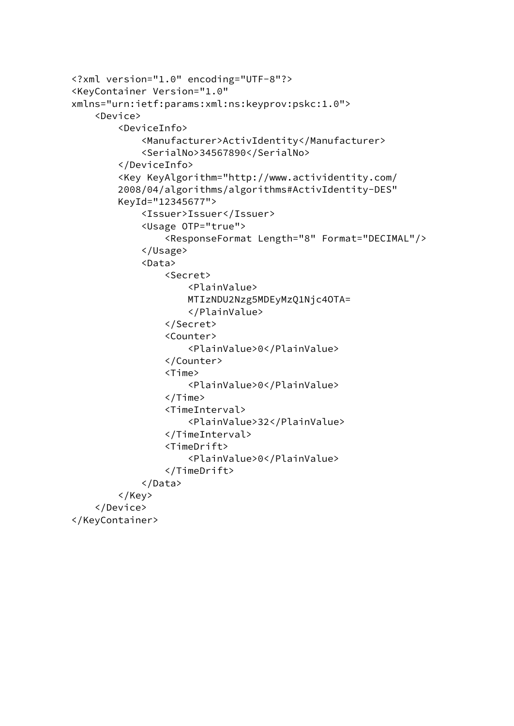```
 <?xml version="1.0" encoding="UTF-8"?>
 <KeyContainer Version="1.0"
 xmlns="urn:ietf:params:xml:ns:keyprov:pskc:1.0">
     <Device>
         <DeviceInfo>
              <Manufacturer>ActivIdentity</Manufacturer>
              <SerialNo>34567890</SerialNo>
         </DeviceInfo>
         <Key KeyAlgorithm="http://www.actividentity.com/
         2008/04/algorithms/algorithms#ActivIdentity-DES"
         KeyId="12345677">
              <Issuer>Issuer</Issuer>
              <Usage OTP="true">
                  <ResponseFormat Length="8" Format="DECIMAL"/>
              </Usage>
              <Data>
                  <Secret>
                      <PlainValue>
                      MTIzNDU2Nzg5MDEyMzQ1Njc4OTA=
                      </PlainValue>
                  </Secret>
                  <Counter>
                       <PlainValue>0</PlainValue>
                  </Counter>
                 <Time> <PlainValue>0</PlainValue>
                 \langleTime>
                  <TimeInterval>
                       <PlainValue>32</PlainValue>
                  </TimeInterval>
                  <TimeDrift>
                      <PlainValue>0</PlainValue>
                  </TimeDrift>
              </Data>
        \langle/Key>
     </Device>
 </KeyContainer>
```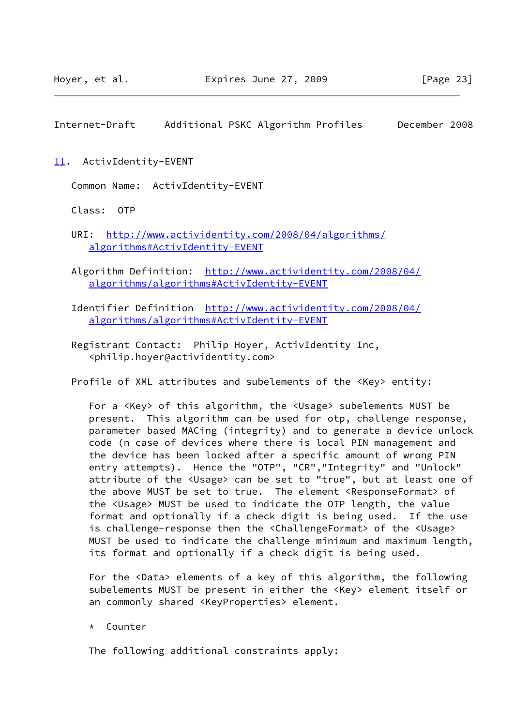## <span id="page-26-1"></span>Internet-Draft Additional PSKC Algorithm Profiles December 2008

#### <span id="page-26-0"></span>[11.](#page-26-0) ActivIdentity-EVENT

Common Name: ActivIdentity-EVENT

Class: OTP

- URI: [http://www.actividentity.com/2008/04/algorithms/](http://www.actividentity.com/2008/04/algorithms/algorithms#ActivIdentity-EVENT) [algorithms#ActivIdentity-EVENT](http://www.actividentity.com/2008/04/algorithms/algorithms#ActivIdentity-EVENT)
- Algorithm Definition: [http://www.actividentity.com/2008/04/](http://www.actividentity.com/2008/04/algorithms/algorithms#ActivIdentity-EVENT) [algorithms/algorithms#ActivIdentity-EVENT](http://www.actividentity.com/2008/04/algorithms/algorithms#ActivIdentity-EVENT)
- Identifier Definition [http://www.actividentity.com/2008/04/](http://www.actividentity.com/2008/04/algorithms/algorithms#ActivIdentity-EVENT) [algorithms/algorithms#ActivIdentity-EVENT](http://www.actividentity.com/2008/04/algorithms/algorithms#ActivIdentity-EVENT)
- Registrant Contact: Philip Hoyer, ActivIdentity Inc, <philip.hoyer@actividentity.com>
- Profile of XML attributes and subelements of the <Key> entity:

 For a <Key> of this algorithm, the <Usage> subelements MUST be present. This algorithm can be used for otp, challenge response, parameter based MACing (integrity) and to generate a device unlock code (n case of devices where there is local PIN management and the device has been locked after a specific amount of wrong PIN entry attempts). Hence the "OTP", "CR","Integrity" and "Unlock" attribute of the <Usage> can be set to "true", but at least one of the above MUST be set to true. The element <ResponseFormat> of the <Usage> MUST be used to indicate the OTP length, the value format and optionally if a check digit is being used. If the use is challenge-response then the <ChallengeFormat> of the <Usage> MUST be used to indicate the challenge minimum and maximum length, its format and optionally if a check digit is being used.

 For the <Data> elements of a key of this algorithm, the following subelements MUST be present in either the <Key> element itself or an commonly shared <KeyProperties> element.

\* Counter

The following additional constraints apply: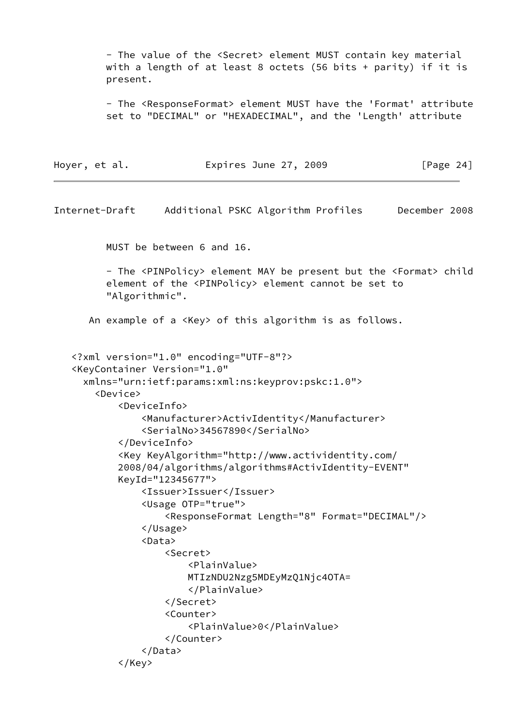- The value of the <Secret> element MUST contain key material with a length of at least 8 octets (56 bits + parity) if it is present.

 - The <ResponseFormat> element MUST have the 'Format' attribute set to "DECIMAL" or "HEXADECIMAL", and the 'Length' attribute

Hoyer, et al. **Expires June 27, 2009** [Page 24]

```
Internet-Draft Additional PSKC Algorithm Profiles December 2008
          MUST be between 6 and 16.
          - The <PINPolicy> element MAY be present but the <Format> child
          element of the <PINPolicy> element cannot be set to
          "Algorithmic".
       An example of a <Key> of this algorithm is as follows.
    <?xml version="1.0" encoding="UTF-8"?>
    <KeyContainer Version="1.0"
      xmlns="urn:ietf:params:xml:ns:keyprov:pskc:1.0">
        <Device>
            <DeviceInfo>
                <Manufacturer>ActivIdentity</Manufacturer>
                 <SerialNo>34567890</SerialNo>
            </DeviceInfo>
            <Key KeyAlgorithm="http://www.actividentity.com/
            2008/04/algorithms/algorithms#ActivIdentity-EVENT"
            KeyId="12345677">
                <Issuer>Issuer</Issuer>
                <Usage OTP="true">
                     <ResponseFormat Length="8" Format="DECIMAL"/>
                </Usage>
                <Data>
                     <Secret>
                         <PlainValue>
                         MTIzNDU2Nzg5MDEyMzQ1Njc4OTA=
                         </PlainValue>
                     </Secret>
                     <Counter>
                         <PlainValue>0</PlainValue>
                     </Counter>
                </Data>
            </Key>
```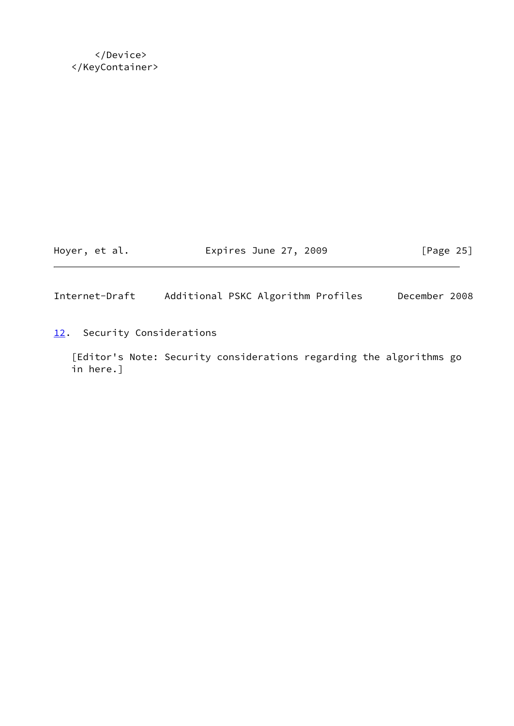# </Device> </KeyContainer>

Hoyer, et al. **Expires June 27, 2009** [Page 25]

<span id="page-28-1"></span>Internet-Draft Additional PSKC Algorithm Profiles December 2008

<span id="page-28-0"></span>[12.](#page-28-0) Security Considerations

 [Editor's Note: Security considerations regarding the algorithms go in here.]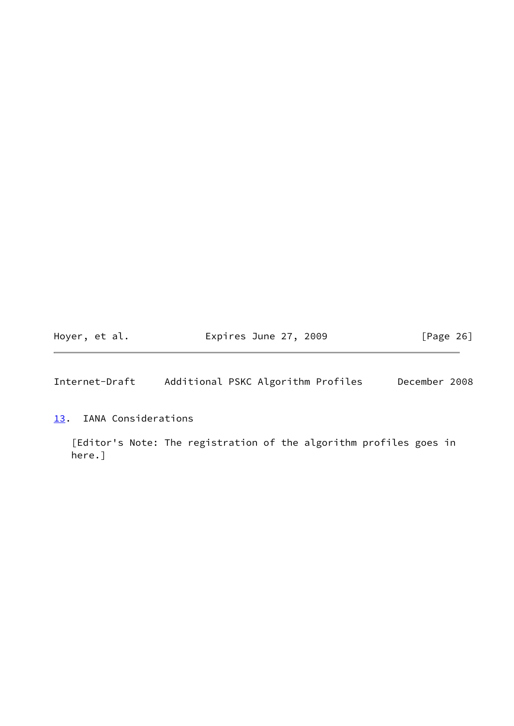| Expires June 27, 2009<br>Hoyer, et al. | [Page 26] |
|----------------------------------------|-----------|
|----------------------------------------|-----------|

<span id="page-29-1"></span>Internet-Draft Additional PSKC Algorithm Profiles December 2008

<span id="page-29-0"></span>[13.](#page-29-0) IANA Considerations

 [Editor's Note: The registration of the algorithm profiles goes in here.]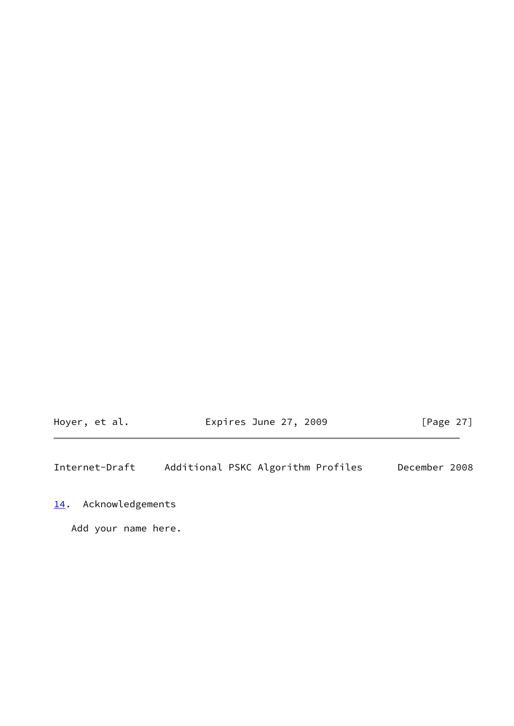Hoyer, et al. **Expires June 27, 2009** [Page 27]

<span id="page-30-1"></span>Internet-Draft Additional PSKC Algorithm Profiles December 2008

<span id="page-30-0"></span>[14.](#page-30-0) Acknowledgements

Add your name here.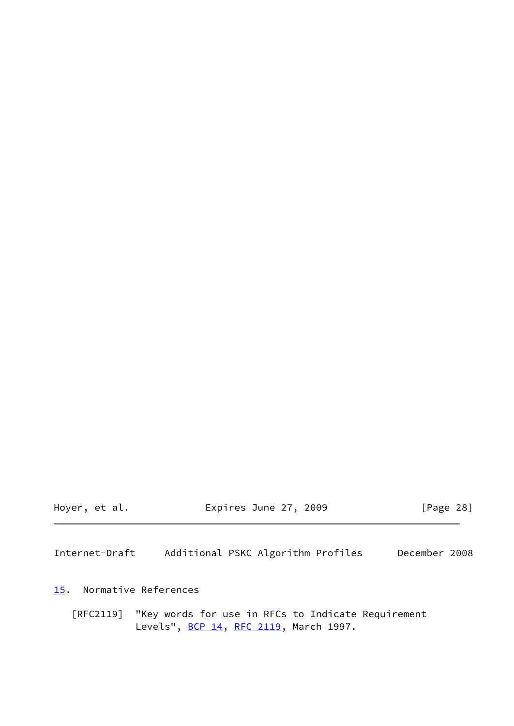| Hoyer, | et al. |
|--------|--------|

yer, et al.  $\qquad \qquad$  Expires June 27, 2009  $\qquad \qquad$  [Page 28]

<span id="page-31-1"></span>Internet-Draft Additional PSKC Algorithm Profiles December 2008

<span id="page-31-0"></span>[15.](#page-31-0) Normative References

 [RFC2119] "Key words for use in RFCs to Indicate Requirement Levels", [BCP 14](https://datatracker.ietf.org/doc/pdf/bcp14), [RFC 2119,](https://datatracker.ietf.org/doc/pdf/rfc2119) March 1997.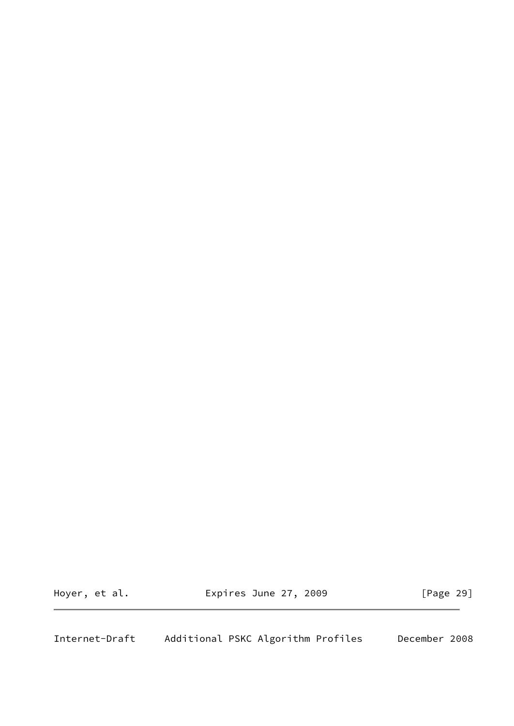Hoyer, et al. **Expires June 27, 2009** [Page 29]

<span id="page-32-0"></span>

| Additional PSKC Algorithm Profiles | Internet-Draft |  |  |  |  | December 2008 |  |
|------------------------------------|----------------|--|--|--|--|---------------|--|
|------------------------------------|----------------|--|--|--|--|---------------|--|